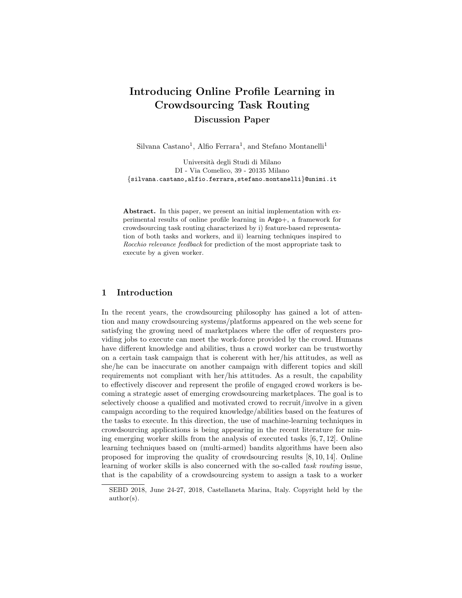# Introducing Online Profile Learning in Crowdsourcing Task Routing Discussion Paper

Silvana Castano<sup>1</sup>, Alfio Ferrara<sup>1</sup>, and Stefano Montanelli<sup>1</sup>

Universit`a degli Studi di Milano DI - Via Comelico, 39 - 20135 Milano {silvana.castano,alfio.ferrara,stefano.montanelli}@unimi.it

Abstract. In this paper, we present an initial implementation with experimental results of online profile learning in Argo+, a framework for crowdsourcing task routing characterized by i) feature-based representation of both tasks and workers, and ii) learning techniques inspired to Rocchio relevance feedback for prediction of the most appropriate task to execute by a given worker.

# 1 Introduction

In the recent years, the crowdsourcing philosophy has gained a lot of attention and many crowdsourcing systems/platforms appeared on the web scene for satisfying the growing need of marketplaces where the offer of requesters providing jobs to execute can meet the work-force provided by the crowd. Humans have different knowledge and abilities, thus a crowd worker can be trustworthy on a certain task campaign that is coherent with her/his attitudes, as well as she/he can be inaccurate on another campaign with different topics and skill requirements not compliant with her/his attitudes. As a result, the capability to effectively discover and represent the profile of engaged crowd workers is becoming a strategic asset of emerging crowdsourcing marketplaces. The goal is to selectively choose a qualified and motivated crowd to recruit/involve in a given campaign according to the required knowledge/abilities based on the features of the tasks to execute. In this direction, the use of machine-learning techniques in crowdsourcing applications is being appearing in the recent literature for mining emerging worker skills from the analysis of executed tasks  $[6, 7, 12]$ . Online learning techniques based on (multi-armed) bandits algorithms have been also proposed for improving the quality of crowdsourcing results [8, 10, 14]. Online learning of worker skills is also concerned with the so-called task routing issue, that is the capability of a crowdsourcing system to assign a task to a worker

SEBD 2018, June 24-27, 2018, Castellaneta Marina, Italy. Copyright held by the author(s).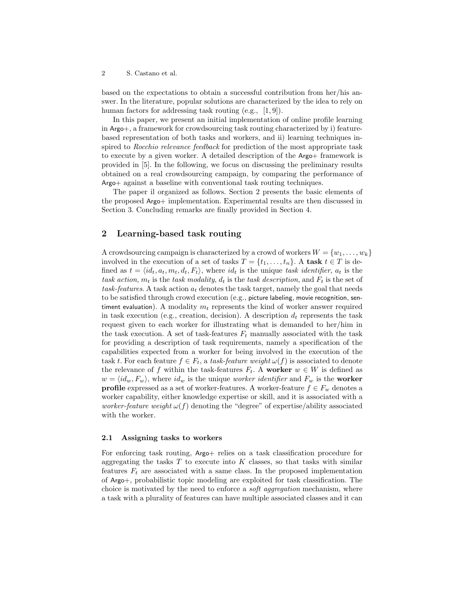based on the expectations to obtain a successful contribution from her/his answer. In the literature, popular solutions are characterized by the idea to rely on human factors for addressing task routing (e.g., [1,9]).

In this paper, we present an initial implementation of online profile learning in Argo+, a framework for crowdsourcing task routing characterized by i) featurebased representation of both tasks and workers, and ii) learning techniques inspired to Rocchio relevance feedback for prediction of the most appropriate task to execute by a given worker. A detailed description of the Argo+ framework is provided in [5]. In the following, we focus on discussing the preliminary results obtained on a real crowdsourcing campaign, by comparing the performance of Argo+ against a baseline with conventional task routing techniques.

The paper il organized as follows. Section 2 presents the basic elements of the proposed Argo+ implementation. Experimental results are then discussed in Section 3. Concluding remarks are finally provided in Section 4.

# 2 Learning-based task routing

A crowdsourcing campaign is characterized by a crowd of workers  $W = \{w_1, \ldots, w_k\}$ involved in the execution of a set of tasks  $T = \{t_1, \ldots, t_n\}$ . A task  $t \in T$  is defined as  $t = \langle id_t, a_t, m_t, d_t, F_t \rangle$ , where  $id_t$  is the unique task identifier,  $a_t$  is the task action,  $m_t$  is the task modality,  $d_t$  is the task description, and  $F_t$  is the set of task-features. A task action  $a_t$  denotes the task target, namely the goal that needs to be satisfied through crowd execution (e.g., picture labeling, movie recognition, sentiment evaluation). A modality  $m_t$  represents the kind of worker answer required in task execution (e.g., creation, decision). A description  $d_t$  represents the task request given to each worker for illustrating what is demanded to her/him in the task execution. A set of task-features  $F_t$  manually associated with the task for providing a description of task requirements, namely a specification of the capabilities expected from a worker for being involved in the execution of the task t. For each feature  $f \in F_t$ , a task-feature weight  $\omega(f)$  is associated to denote the relevance of f within the task-features  $F_t$ . A worker  $w \in W$  is defined as  $w = \langle id_w, F_w \rangle$ , where  $id_w$  is the unique worker identifier and  $F_w$  is the worker **profile** expressed as a set of worker-features. A worker-feature  $f \in F_w$  denotes a worker capability, either knowledge expertise or skill, and it is associated with a worker-feature weight  $\omega(f)$  denoting the "degree" of expertise/ability associated with the worker.

#### 2.1 Assigning tasks to workers

For enforcing task routing, Argo+ relies on a task classification procedure for aggregating the tasks  $T$  to execute into  $K$  classes, so that tasks with similar features  $F_t$  are associated with a same class. In the proposed implementation of Argo+, probabilistic topic modeling are exploited for task classification. The choice is motivated by the need to enforce a soft aggregation mechanism, where a task with a plurality of features can have multiple associated classes and it can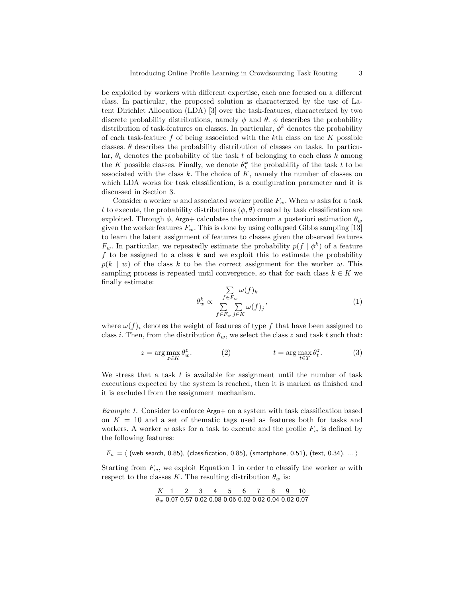be exploited by workers with different expertise, each one focused on a different class. In particular, the proposed solution is characterized by the use of Latent Dirichlet Allocation (LDA) [3] over the task-features, characterized by two discrete probability distributions, namely  $\phi$  and  $\theta$ .  $\phi$  describes the probability distribution of task-features on classes. In particular,  $\phi^k$  denotes the probability of each task-feature  $f$  of being associated with the kth class on the  $K$  possible classes.  $\theta$  describes the probability distribution of classes on tasks. In particular,  $\theta_t$  denotes the probability of the task t of belonging to each class k among the K possible classes. Finally, we denote  $\theta_t^k$  the probability of the task t to be associated with the class  $k$ . The choice of  $K$ , namely the number of classes on which LDA works for task classification, is a configuration parameter and it is discussed in Section 3.

Consider a worker w and associated worker profile  $F_w$ . When w asks for a task t to execute, the probability distributions  $(\phi, \theta)$  created by task classification are exploited. Through  $\phi$ , Argo+ calculates the maximum a posteriori estimation  $\theta_w$ given the worker features  $F_w$ . This is done by using collapsed Gibbs sampling [13] to learn the latent assignment of features to classes given the observed features  $F_w$ . In particular, we repeatedly estimate the probability  $p(f | \phi^k)$  of a feature f to be assigned to a class  $k$  and we exploit this to estimate the probability  $p(k \mid w)$  of the class k to be the correct assignment for the worker w. This sampling process is repeated until convergence, so that for each class  $k \in K$  we finally estimate:

$$
\theta_w^k \propto \frac{\sum\limits_{f \in F_w} \omega(f)_k}{\sum\limits_{f \in F_w} \sum\limits_{j \in K} \omega(f)_j},\tag{1}
$$

where  $\omega(f)_i$  denotes the weight of features of type f that have been assigned to class i. Then, from the distribution  $\theta_w$ , we select the class z and task t such that:

$$
z = \arg\max_{z \in K} \theta_w^z.
$$
 (2) 
$$
t = \arg\max_{t \in T} \theta_t^z.
$$
 (3)

We stress that a task  $t$  is available for assignment until the number of task executions expected by the system is reached, then it is marked as finished and it is excluded from the assignment mechanism.

Example 1. Consider to enforce Argo+ on a system with task classification based on  $K = 10$  and a set of thematic tags used as features both for tasks and workers. A worker w asks for a task to execute and the profile  $F_w$  is defined by the following features:

 $F_w = \langle$  (web search, 0.85), (classification, 0.85), (smartphone, 0.51), (text, 0.34), ...  $\rangle$ 

Starting from  $F_w$ , we exploit Equation 1 in order to classify the worker w with respect to the classes K. The resulting distribution  $\theta_w$  is:

| $K$        | 1    | 2    | 3    | 4    | 5    | 6    | 7    | 8    | 9    | 10   |
|------------|------|------|------|------|------|------|------|------|------|------|
| $\theta_w$ | 0.07 | 0.57 | 0.02 | 0.08 | 0.06 | 0.02 | 0.02 | 0.04 | 0.02 | 0.07 |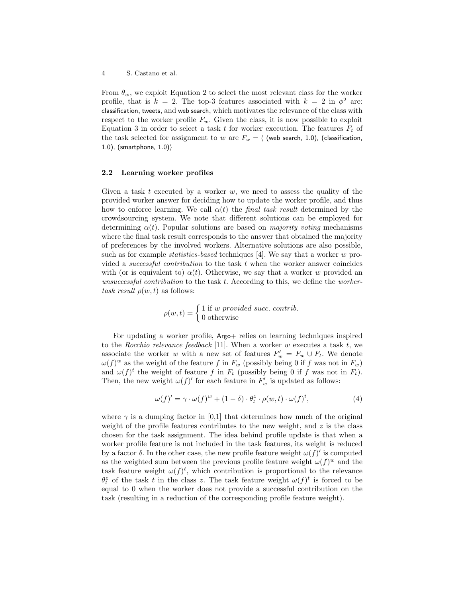From  $\theta_w$ , we exploit Equation 2 to select the most relevant class for the worker profile, that is  $k = 2$ . The top-3 features associated with  $k = 2$  in  $\phi^2$  are: classification, tweets, and web search, which motivates the relevance of the class with respect to the worker profile  $F_w$ . Given the class, it is now possible to exploit Equation 3 in order to select a task t for worker execution. The features  $F_t$  of the task selected for assignment to w are  $F_w = \langle$  (web search, 1.0), (classification, 1.0), (smartphone,  $1.0$ ))

#### 2.2 Learning worker profiles

Given a task t executed by a worker  $w$ , we need to assess the quality of the provided worker answer for deciding how to update the worker profile, and thus how to enforce learning. We call  $\alpha(t)$  the *final task result* determined by the crowdsourcing system. We note that different solutions can be employed for determining  $\alpha(t)$ . Popular solutions are based on *majority voting* mechanisms where the final task result corresponds to the answer that obtained the majority of preferences by the involved workers. Alternative solutions are also possible, such as for example *statistics-based* techniques [4]. We say that a worker w provided a successful contribution to the task t when the worker answer coincides with (or is equivalent to)  $\alpha(t)$ . Otherwise, we say that a worker w provided an unsuccessful contribution to the task  $t$ . According to this, we define the workertask result  $\rho(w, t)$  as follows:

$$
\rho(w,t) = \begin{cases} 1 \text{ if } w \text{ provided succ. contrib.} \\ 0 \text{ otherwise} \end{cases}
$$

For updating a worker profile, Argo+ relies on learning techniques inspired to the Rocchio relevance feedback [11]. When a worker  $w$  executes a task  $t$ , we associate the worker w with a new set of features  $F'_w = F_w \cup F_t$ . We denote  $\omega(f)^w$  as the weight of the feature f in  $F_w$  (possibly being 0 if f was not in  $F_w$ ) and  $\omega(f)^t$  the weight of feature f in  $F_t$  (possibly being 0 if f was not in  $F_t$ ). Then, the new weight  $\omega(f)'$  for each feature in  $F'_{w}$  is updated as follows:

$$
\omega(f)' = \gamma \cdot \omega(f)^{w} + (1 - \delta) \cdot \theta_t^z \cdot \rho(w, t) \cdot \omega(f)^t,
$$
\n(4)

where  $\gamma$  is a dumping factor in [0,1] that determines how much of the original weight of the profile features contributes to the new weight, and  $z$  is the class chosen for the task assignment. The idea behind profile update is that when a worker profile feature is not included in the task features, its weight is reduced by a factor  $\delta$ . In the other case, the new profile feature weight  $\omega(f)'$  is computed as the weighted sum between the previous profile feature weight  $\omega(f)^w$  and the task feature weight  $\omega(f)^t$ , which contribution is proportional to the relevance  $\theta_t^z$  of the task t in the class z. The task feature weight  $\omega(f)^t$  is forced to be equal to 0 when the worker does not provide a successful contribution on the task (resulting in a reduction of the corresponding profile feature weight).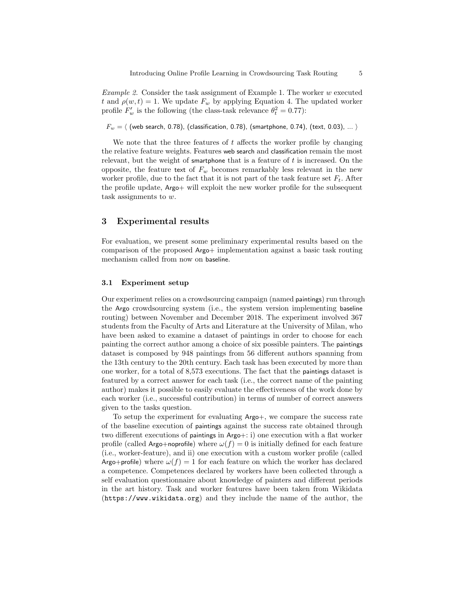Example 2. Consider the task assignment of Example 1. The worker w executed t and  $\rho(w, t) = 1$ . We update  $F_w$  by applying Equation 4. The updated worker profile  $F'_w$  is the following (the class-task relevance  $\theta_t^2 = 0.77$ ):

 $F_w = \langle$  (web search, 0.78), (classification, 0.78), (smartphone, 0.74), (text, 0.03), ...  $\rangle$ 

We note that the three features of  $t$  affects the worker profile by changing the relative feature weights. Features web search and classification remain the most relevant, but the weight of smartphone that is a feature of  $t$  is increased. On the opposite, the feature text of  $F_w$  becomes remarkably less relevant in the new worker profile, due to the fact that it is not part of the task feature set  $F_t$ . After the profile update, Argo+ will exploit the new worker profile for the subsequent task assignments to w.

## 3 Experimental results

For evaluation, we present some preliminary experimental results based on the comparison of the proposed Argo+ implementation against a basic task routing mechanism called from now on baseline.

### 3.1 Experiment setup

Our experiment relies on a crowdsourcing campaign (named paintings) run through the Argo crowdsourcing system (i.e., the system version implementing baseline routing) between November and December 2018. The experiment involved 367 students from the Faculty of Arts and Literature at the University of Milan, who have been asked to examine a dataset of paintings in order to choose for each painting the correct author among a choice of six possible painters. The paintings dataset is composed by 948 paintings from 56 different authors spanning from the 13th century to the 20th century. Each task has been executed by more than one worker, for a total of 8,573 executions. The fact that the paintings dataset is featured by a correct answer for each task (i.e., the correct name of the painting author) makes it possible to easily evaluate the effectiveness of the work done by each worker (i.e., successful contribution) in terms of number of correct answers given to the tasks question.

To setup the experiment for evaluating Argo+, we compare the success rate of the baseline execution of paintings against the success rate obtained through two different executions of paintings in Argo+: i) one execution with a flat worker profile (called Argo+noprofile) where  $\omega(f) = 0$  is initially defined for each feature (i.e., worker-feature), and ii) one execution with a custom worker profile (called Argo+profile) where  $\omega(f) = 1$  for each feature on which the worker has declared a competence. Competences declared by workers have been collected through a self evaluation questionnaire about knowledge of painters and different periods in the art history. Task and worker features have been taken from Wikidata (https://www.wikidata.org) and they include the name of the author, the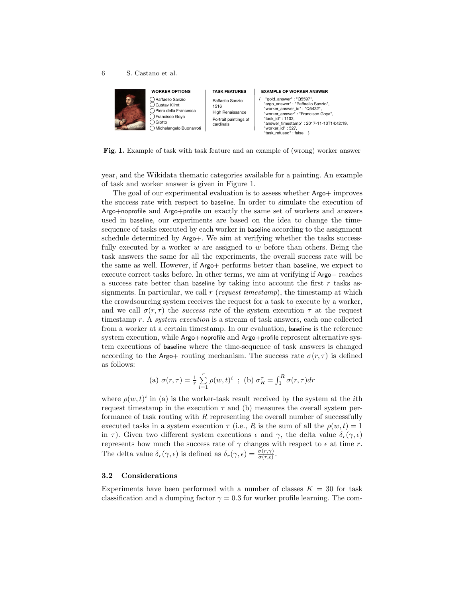

Fig. 1. Example of task with task feature and an example of (wrong) worker answer

year, and the Wikidata thematic categories available for a painting. An example of task and worker answer is given in Figure 1.

The goal of our experimental evaluation is to assess whether Argo+ improves the success rate with respect to baseline. In order to simulate the execution of Argo+noprofile and Argo+profile on exactly the same set of workers and answers used in baseline, our experiments are based on the idea to change the timesequence of tasks executed by each worker in baseline according to the assignment schedule determined by Argo+. We aim at verifying whether the tasks successfully executed by a worker w are assigned to w before than others. Being the task answers the same for all the experiments, the overall success rate will be the same as well. However, if Argo+ performs better than baseline, we expect to execute correct tasks before. In other terms, we aim at verifying if Argo+ reaches a success rate better than baseline by taking into account the first  $r$  tasks assignments. In particular, we call  $r$  (request timestamp), the timestamp at which the crowdsourcing system receives the request for a task to execute by a worker, and we call  $\sigma(r,\tau)$  the success rate of the system execution  $\tau$  at the request timestamp r. A system execution is a stream of task answers, each one collected from a worker at a certain timestamp. In our evaluation, baseline is the reference system execution, while Argo+noprofile and Argo+profile represent alternative system executions of baseline where the time-sequence of task answers is changed according to the Argo+ routing mechanism. The success rate  $\sigma(r,\tau)$  is defined as follows:

(a) 
$$
\sigma(r,\tau) = \frac{1}{r} \sum_{i=1}^{r} \rho(w,t)^i
$$
; (b)  $\sigma_R^{\tau} = \int_{1}^{R} \sigma(r,\tau) dr$ 

where  $\rho(w, t)^i$  in (a) is the worker-task result received by the system at the *i*th request timestamp in the execution  $\tau$  and (b) measures the overall system performance of task routing with  $R$  representing the overall number of successfully executed tasks in a system execution  $\tau$  (i.e., R is the sum of all the  $\rho(w,t) = 1$ in τ). Given two different system executions  $\epsilon$  and  $\gamma$ , the delta value  $\delta_r(\gamma, \epsilon)$ represents how much the success rate of  $\gamma$  changes with respect to  $\epsilon$  at time r. The delta value  $\delta_r(\gamma, \epsilon)$  is defined as  $\delta_r(\gamma, \epsilon) = \frac{\sigma(r, \gamma)}{\sigma(r, \epsilon)}$ .

#### 3.2 Considerations

Experiments have been performed with a number of classes  $K = 30$  for task classification and a dumping factor  $\gamma = 0.3$  for worker profile learning. The com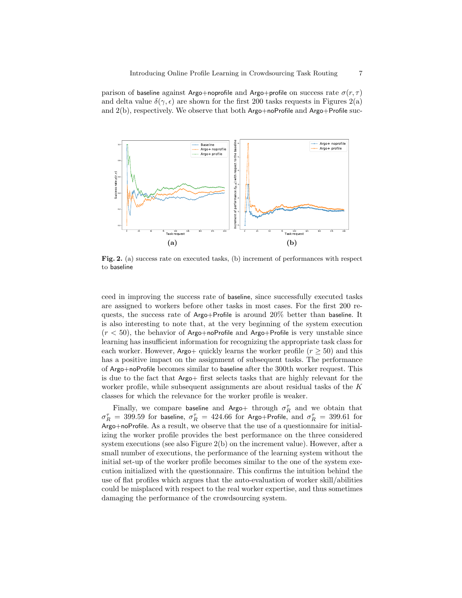parison of baseline against Argo+noprofile and Argo+profile on success rate  $\sigma(r,\tau)$ and delta value  $\delta(\gamma, \epsilon)$  are shown for the first 200 tasks requests in Figures 2(a) and  $2(b)$ , respectively. We observe that both Argo+noProfile and Argo+Profile suc-



Fig. 2. (a) success rate on executed tasks, (b) increment of performances with respect to baseline

ceed in improving the success rate of baseline, since successfully executed tasks are assigned to workers before other tasks in most cases. For the first 200 requests, the success rate of Argo+Profile is around 20% better than baseline. It is also interesting to note that, at the very beginning of the system execution  $(r < 50)$ , the behavior of Argo+noProfile and Argo+Profile is very unstable since learning has insufficient information for recognizing the appropriate task class for each worker. However, Argo+ quickly learns the worker profile  $(r > 50)$  and this has a positive impact on the assignment of subsequent tasks. The performance of Argo+noProfile becomes similar to baseline after the 300th worker request. This is due to the fact that Argo+ first selects tasks that are highly relevant for the worker profile, while subsequent assignments are about residual tasks of the K classes for which the relevance for the worker profile is weaker.

Finally, we compare baseline and Argo+ through  $\sigma_R^{\tau}$  and we obtain that  $\sigma_R^\tau\,=\,399.59$  for baseline,  $\sigma_R^\tau\,=\,424.66$  for Argo+Profile, and  $\sigma_R^\tau\,=\,399.61$  for Argo+noProfile. As a result, we observe that the use of a questionnaire for initializing the worker profile provides the best performance on the three considered system executions (see also Figure 2(b) on the increment value). However, after a small number of executions, the performance of the learning system without the initial set-up of the worker profile becomes similar to the one of the system execution initialized with the questionnaire. This confirms the intuition behind the use of flat profiles which argues that the auto-evaluation of worker skill/abilities could be misplaced with respect to the real worker expertise, and thus sometimes damaging the performance of the crowdsourcing system.